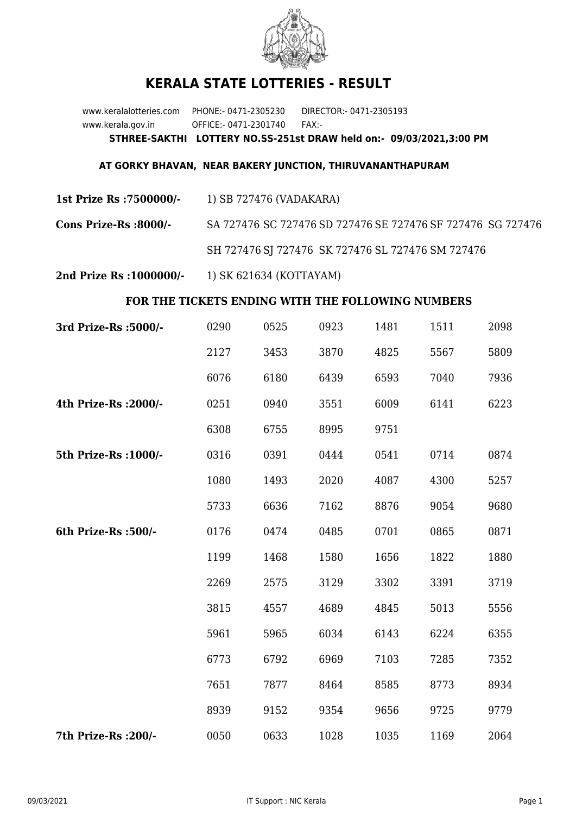

## **KERALA STATE LOTTERIES - RESULT**

www.keralalotteries.com PHONE:- 0471-2305230 DIRECTOR:- 0471-2305193 www.kerala.gov.in OFFICE:- 0471-2301740 FAX:- **STHREE-SAKTHI LOTTERY NO.SS-251st DRAW held on:- 09/03/2021,3:00 PM**

## **AT GORKY BHAVAN, NEAR BAKERY JUNCTION, THIRUVANANTHAPURAM**

- **1st Prize Rs :7500000/-** 1) SB 727476 (VADAKARA)
- **Cons Prize-Rs :8000/-** SA 727476 SC 727476 SD 727476 SE 727476 SF 727476 SG 727476 SH 727476 SJ 727476 SK 727476 SL 727476 SM 727476
- **2nd Prize Rs :1000000/-** 1) SK 621634 (KOTTAYAM)

## **FOR THE TICKETS ENDING WITH THE FOLLOWING NUMBERS**

| 3rd Prize-Rs : 5000/- | 0290 | 0525 | 0923 | 1481 | 1511 | 2098 |
|-----------------------|------|------|------|------|------|------|
|                       | 2127 | 3453 | 3870 | 4825 | 5567 | 5809 |
|                       | 6076 | 6180 | 6439 | 6593 | 7040 | 7936 |
| 4th Prize-Rs : 2000/- | 0251 | 0940 | 3551 | 6009 | 6141 | 6223 |
|                       | 6308 | 6755 | 8995 | 9751 |      |      |
| 5th Prize-Rs : 1000/- | 0316 | 0391 | 0444 | 0541 | 0714 | 0874 |
|                       | 1080 | 1493 | 2020 | 4087 | 4300 | 5257 |
|                       | 5733 | 6636 | 7162 | 8876 | 9054 | 9680 |
| 6th Prize-Rs : 500/-  | 0176 | 0474 | 0485 | 0701 | 0865 | 0871 |
|                       | 1199 | 1468 | 1580 | 1656 | 1822 | 1880 |
|                       | 2269 | 2575 | 3129 | 3302 | 3391 | 3719 |
|                       | 3815 | 4557 | 4689 | 4845 | 5013 | 5556 |
|                       | 5961 | 5965 | 6034 | 6143 | 6224 | 6355 |
|                       | 6773 | 6792 | 6969 | 7103 | 7285 | 7352 |
|                       | 7651 | 7877 | 8464 | 8585 | 8773 | 8934 |
|                       | 8939 | 9152 | 9354 | 9656 | 9725 | 9779 |
| 7th Prize-Rs : 200/-  | 0050 | 0633 | 1028 | 1035 | 1169 | 2064 |